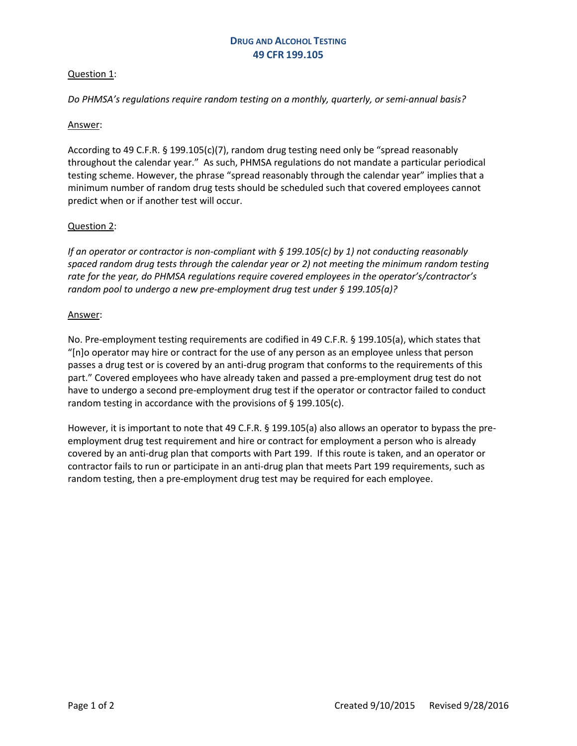## Question 1:

*Do PHMSA's regulations require random testing on a monthly, quarterly, or semi-annual basis?* 

### Answer:

According to 49 C.F.R. § 199.105(c)(7), random drug testing need only be "spread reasonably throughout the calendar year." As such, PHMSA regulations do not mandate a particular periodical testing scheme. However, the phrase "spread reasonably through the calendar year" implies that a minimum number of random drug tests should be scheduled such that covered employees cannot predict when or if another test will occur.

### Question 2:

*If an operator or contractor is non-compliant with § 199.105(c) by 1) not conducting reasonably spaced random drug tests through the calendar year or 2) not meeting the minimum random testing rate for the year, do PHMSA regulations require covered employees in the operator's/contractor's random pool to undergo a new pre-employment drug test under § 199.105(a)?*

### Answer:

No. Pre-employment testing requirements are codified in 49 C.F.R. § 199.105(a), which states that "[n]o operator may hire or contract for the use of any person as an employee unless that person passes a drug test or is covered by an anti-drug program that conforms to the requirements of this part." Covered employees who have already taken and passed a pre-employment drug test do not have to undergo a second pre-employment drug test if the operator or contractor failed to conduct random testing in accordance with the provisions of § 199.105(c).

However, it is important to note that 49 C.F.R. § 199.105(a) also allows an operator to bypass the preemployment drug test requirement and hire or contract for employment a person who is already covered by an anti-drug plan that comports with Part 199. If this route is taken, and an operator or contractor fails to run or participate in an anti-drug plan that meets Part 199 requirements, such as random testing, then a pre-employment drug test may be required for each employee.